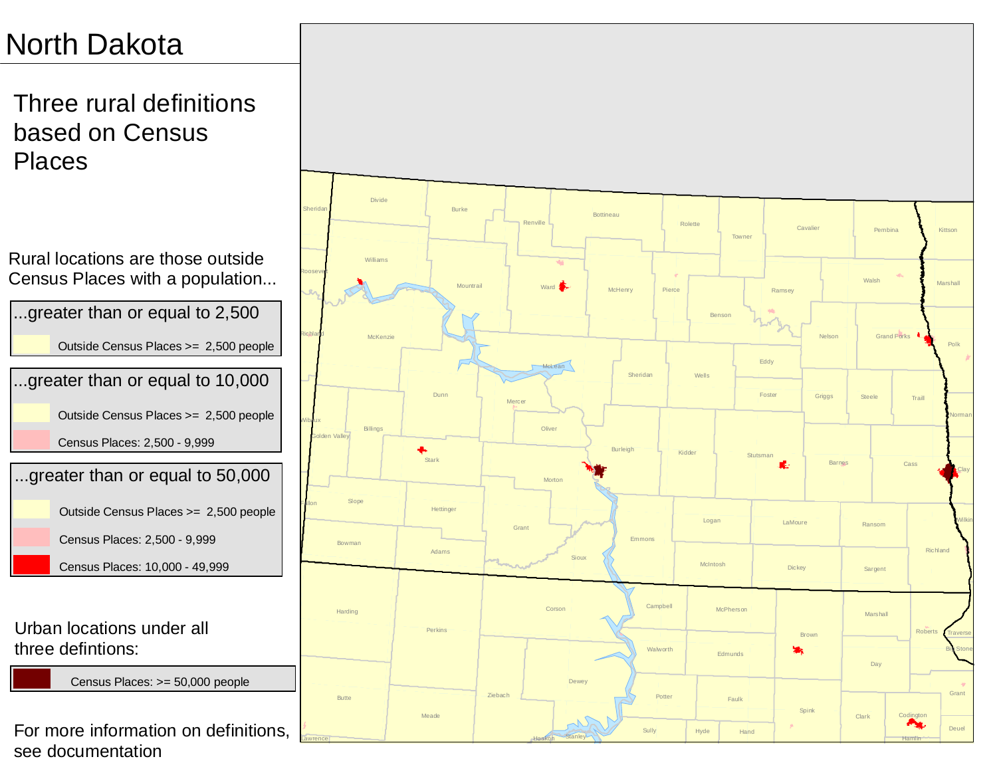Three rural definitions based on Census Places

...greater than or equal to 10,000 Outside Census Places >= 2,500 people Census Places: 2,500 - 9,999 ...greater than or equal to 50,000 Outside Census Places >= 2,500 people Census Places: 2,500 - 9,999 Census Places: 10,000 - 49,999 Rural locations are those outside Census Places with a population... ...greater than or equal to 2,500 Outside Census Places >= 2,500 people Urban locations under all three defintions:

Census Places: >= 50,000 people

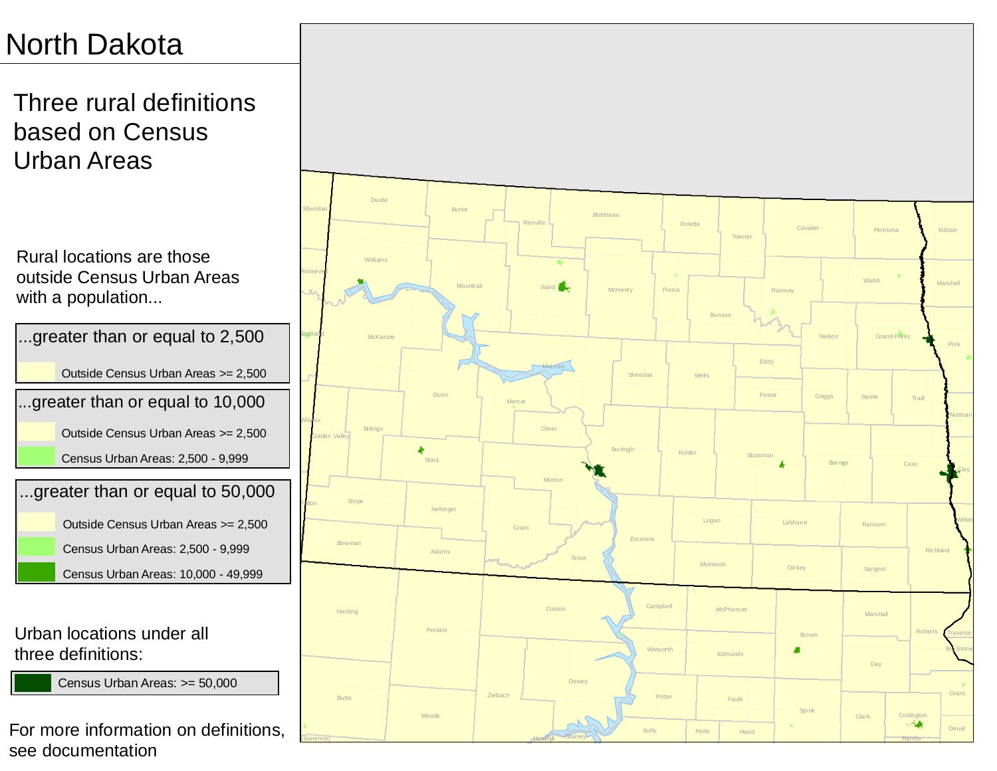Three rural definitions based on Census Urban Areas

Rural locations are those outside Census Urban Areas with a population...



Urban locations under all three definitions:

Census Urban Areas: >= 50,000

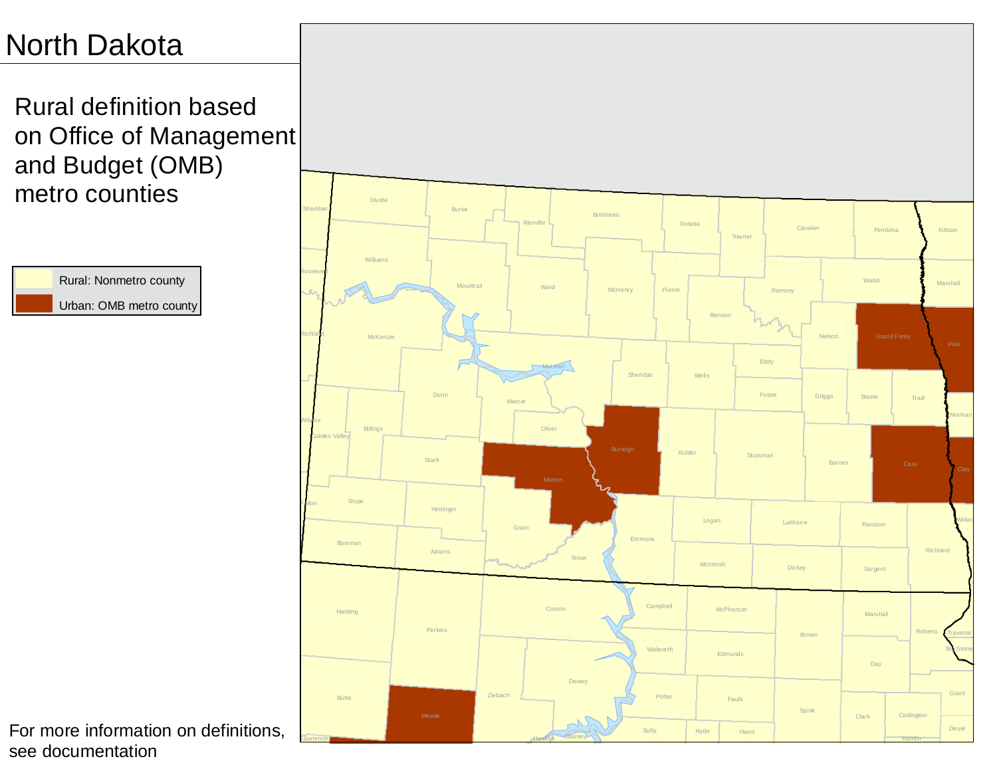Rural definition based on Office of Management and Budget (OMB) metro counties



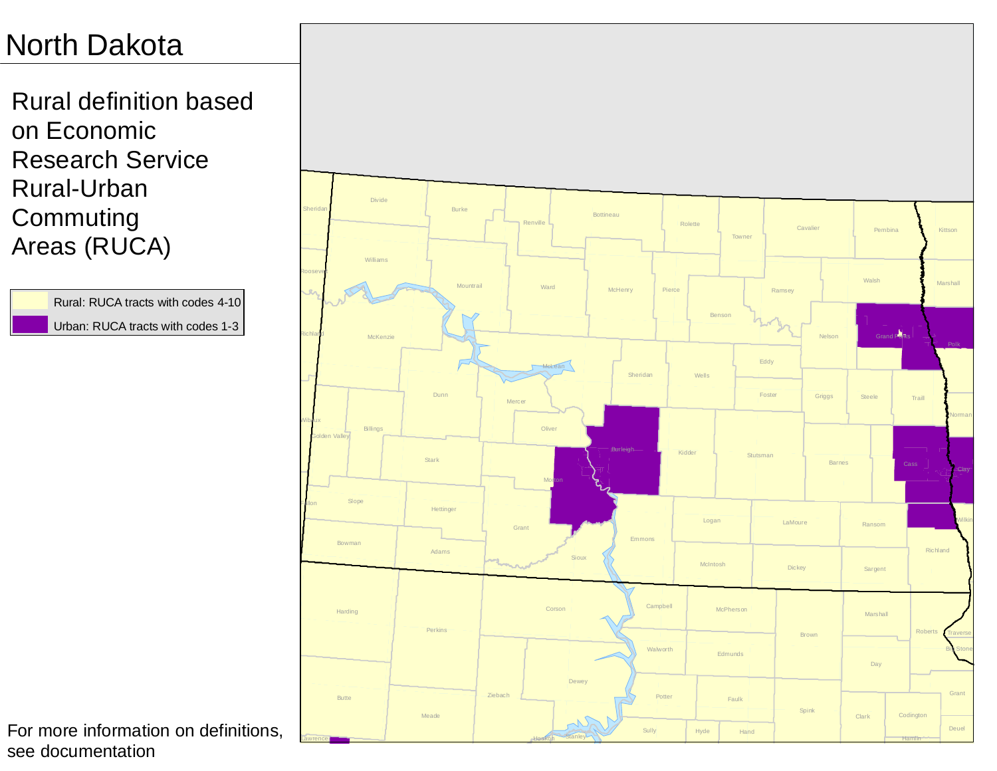Rural definition based on Economic Research Service Rural-Urban Commuting Areas (RUCA)

> Rural: RUCA tracts with codes 4-10 Urban: RUCA tracts with codes 1-3

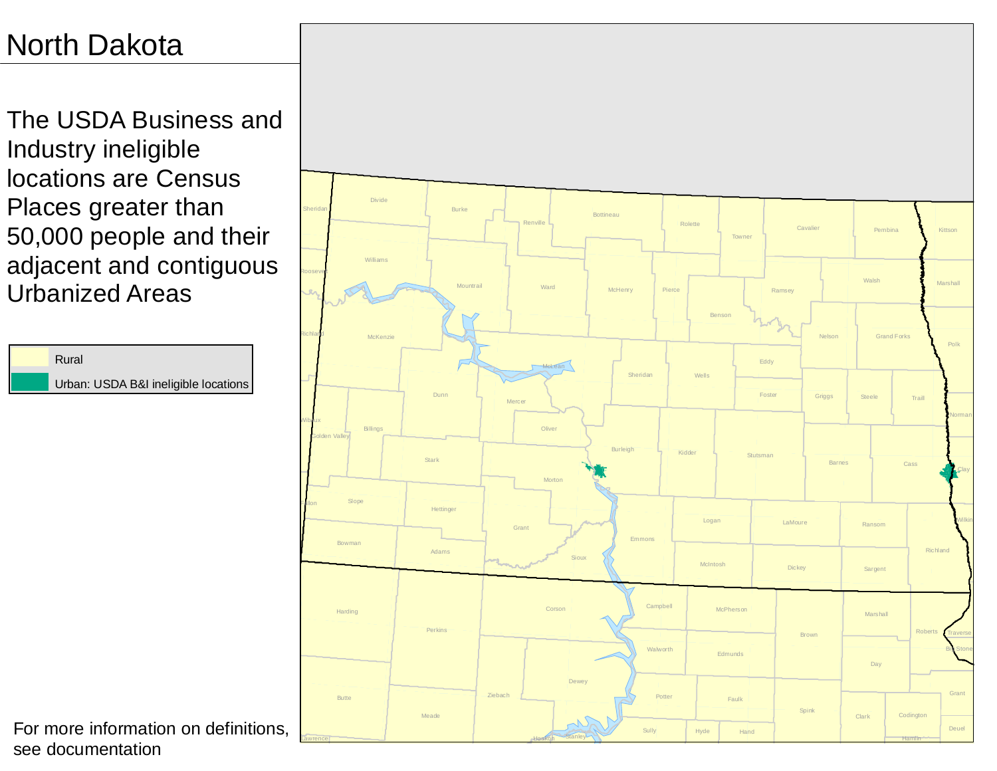The USDA Business and Industry ineligible locations are Census Places greater than 50,000 people and their adjacent and contiguous Urbanized Areas



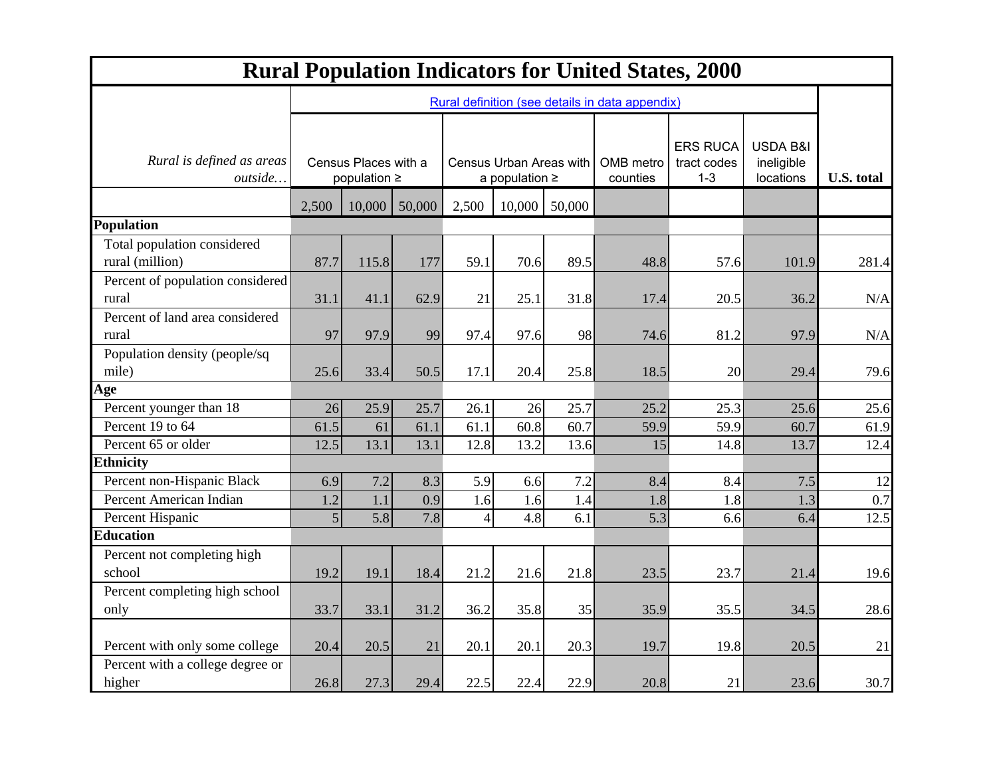| <b>Rural Population Indicators for United States, 2000</b> |                |                                                 |        |                                                |        |                       |                                           |                                     |                   |       |
|------------------------------------------------------------|----------------|-------------------------------------------------|--------|------------------------------------------------|--------|-----------------------|-------------------------------------------|-------------------------------------|-------------------|-------|
|                                                            |                | Rural definition (see details in data appendix) |        |                                                |        |                       |                                           |                                     |                   |       |
| Rural is defined as areas<br>outside                       |                | Census Places with a<br>population $\geq$       |        | Census Urban Areas with<br>a population $\geq$ |        | OMB metro<br>counties | <b>ERS RUCA</b><br>tract codes<br>$1 - 3$ | USDA B&I<br>ineligible<br>locations | <b>U.S. total</b> |       |
|                                                            | 2,500          | 10,000                                          | 50,000 | 2,500                                          | 10,000 | 50,000                |                                           |                                     |                   |       |
| Population                                                 |                |                                                 |        |                                                |        |                       |                                           |                                     |                   |       |
| Total population considered<br>rural (million)             | 87.7           | 115.8                                           | 177    | 59.1                                           | 70.6   | 89.5                  | 48.8                                      | 57.6                                | 101.9             | 281.4 |
| Percent of population considered<br>rural                  | 31.1           | 41.1                                            | 62.9   | 21                                             | 25.1   | 31.8                  | 17.4                                      | 20.5                                | 36.2              | N/A   |
| Percent of land area considered<br>rural                   | 97             | 97.9                                            | 99     | 97.4                                           | 97.6   | 98                    | 74.6                                      | 81.2                                | 97.9              | N/A   |
| Population density (people/sq<br>mile)                     | 25.6           | 33.4                                            | 50.5   | 17.1                                           | 20.4   | 25.8                  | 18.5                                      | 20                                  | 29.4              | 79.6  |
| Age                                                        |                |                                                 |        |                                                |        |                       |                                           |                                     |                   |       |
| Percent younger than 18                                    | 26             | 25.9                                            | 25.7   | 26.1                                           | 26     | 25.7                  | 25.2                                      | 25.3                                | 25.6              | 25.6  |
| Percent 19 to 64                                           | 61.5           | 61                                              | 61.1   | 61.1                                           | 60.8   | 60.7                  | 59.9                                      | 59.9                                | 60.7              | 61.9  |
| Percent 65 or older                                        | 12.5           | 13.1                                            | 13.1   | 12.8                                           | 13.2   | 13.6                  | 15                                        | 14.8                                | 13.7              | 12.4  |
| <b>Ethnicity</b>                                           |                |                                                 |        |                                                |        |                       |                                           |                                     |                   |       |
| Percent non-Hispanic Black                                 | 6.9            | 7.2                                             | 8.3    | 5.9                                            | 6.6    | 7.2                   | 8.4                                       | 8.4                                 | 7.5               | 12    |
| Percent American Indian                                    | 1.2            | 1.1                                             | 0.9    | 1.6                                            | 1.6    | 1.4                   | 1.8                                       | 1.8                                 | 1.3               | 0.7   |
| Percent Hispanic                                           | 5 <sup>1</sup> | 5.8                                             | 7.8    | 4                                              | 4.8    | 6.1                   | 5.3                                       | 6.6                                 | 6.4               | 12.5  |
| <b>Education</b>                                           |                |                                                 |        |                                                |        |                       |                                           |                                     |                   |       |
| Percent not completing high<br>school                      | 19.2           | 19.1                                            | 18.4   | 21.2                                           | 21.6   | 21.8                  | 23.5                                      | 23.7                                | 21.4              | 19.6  |
| Percent completing high school<br>only                     | 33.7           | 33.1                                            | 31.2   | 36.2                                           | 35.8   | 35                    | 35.9                                      | 35.5                                | 34.5              | 28.6  |
| Percent with only some college                             | 20.4           | 20.5                                            | 21     | 20.1                                           | 20.1   | 20.3                  | 19.7                                      | 19.8                                | 20.5              | 21    |
| Percent with a college degree or<br>higher                 | 26.8           | 27.3                                            | 29.4   | 22.5                                           | 22.4   | 22.9                  | 20.8                                      | 21                                  | 23.6              | 30.7  |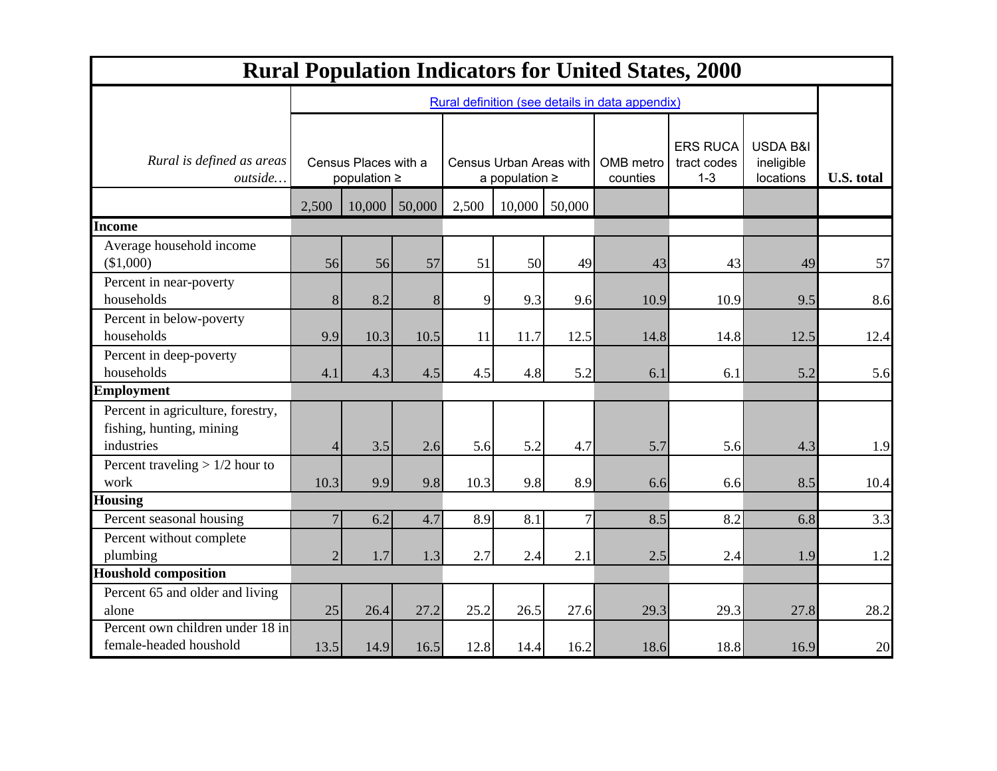| <b>Rural Population Indicators for United States, 2000</b>                  |                                           |                                                 |                                                |       |        |                       |                                           |                                                |                   |      |
|-----------------------------------------------------------------------------|-------------------------------------------|-------------------------------------------------|------------------------------------------------|-------|--------|-----------------------|-------------------------------------------|------------------------------------------------|-------------------|------|
|                                                                             |                                           | Rural definition (see details in data appendix) |                                                |       |        |                       |                                           |                                                |                   |      |
| Rural is defined as areas<br>outside                                        | Census Places with a<br>population $\geq$ |                                                 | Census Urban Areas with<br>a population $\geq$ |       |        | OMB metro<br>counties | <b>ERS RUCA</b><br>tract codes<br>$1 - 3$ | <b>USDA B&amp;I</b><br>ineligible<br>locations | <b>U.S. total</b> |      |
|                                                                             | 2,500                                     | 10,000                                          | 50,000                                         | 2,500 | 10,000 | 50,000                |                                           |                                                |                   |      |
| <b>Income</b>                                                               |                                           |                                                 |                                                |       |        |                       |                                           |                                                |                   |      |
| Average household income<br>(\$1,000)                                       | 56                                        | 56                                              | 57                                             | 51    | 50     | 49                    | 43                                        | 43                                             | 49                | 57   |
| Percent in near-poverty<br>households                                       | 8                                         | 8.2                                             | 8                                              | 9     | 9.3    | 9.6                   | 10.9                                      | 10.9                                           | 9.5               | 8.6  |
| Percent in below-poverty<br>households                                      | 9.9                                       | 10.3                                            | 10.5                                           | 11    | 11.7   | 12.5                  | 14.8                                      | 14.8                                           | 12.5              | 12.4 |
| Percent in deep-poverty<br>households                                       | 4.1                                       | 4.3                                             | 4.5                                            | 4.5   | 4.8    | 5.2                   | 6.1                                       | 6.1                                            | 5.2               | 5.6  |
| <b>Employment</b>                                                           |                                           |                                                 |                                                |       |        |                       |                                           |                                                |                   |      |
| Percent in agriculture, forestry,<br>fishing, hunting, mining<br>industries | 4                                         | 3.5                                             | 2.6                                            | 5.6   | 5.2    | 4.7                   | 5.7                                       | 5.6                                            | 4.3               | 1.9  |
| Percent traveling $> 1/2$ hour to<br>work                                   | 10.3                                      | 9.9                                             | 9.8                                            | 10.3  | 9.8    | 8.9                   | 6.6                                       | 6.6                                            | 8.5               | 10.4 |
| <b>Housing</b>                                                              |                                           |                                                 |                                                |       |        |                       |                                           |                                                |                   |      |
| Percent seasonal housing                                                    | $\overline{7}$                            | 6.2                                             | 4.7                                            | 8.9   | 8.1    | $\overline{7}$        | 8.5                                       | 8.2                                            | 6.8               | 3.3  |
| Percent without complete<br>plumbing                                        | $\overline{2}$                            | 1.7                                             | 1.3                                            | 2.7   | 2.4    | 2.1                   | 2.5                                       | 2.4                                            | 1.9               | 1.2  |
| <b>Houshold composition</b>                                                 |                                           |                                                 |                                                |       |        |                       |                                           |                                                |                   |      |
| Percent 65 and older and living<br>alone                                    | 25                                        | 26.4                                            | 27.2                                           | 25.2  | 26.5   | 27.6                  | 29.3                                      | 29.3                                           | 27.8              | 28.2 |
| Percent own children under 18 in<br>female-headed houshold                  | 13.5                                      | 14.9                                            | 16.5                                           | 12.8  | 14.4   | 16.2                  | 18.6                                      | 18.8                                           | 16.9              | 20   |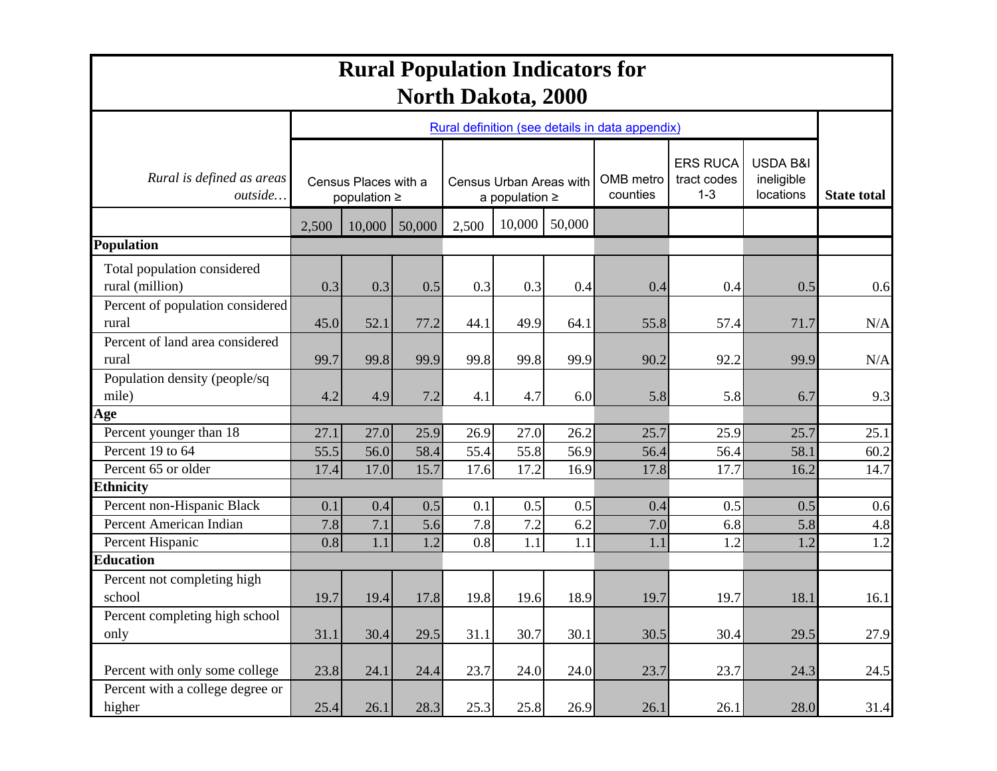| <b>Rural Population Indicators for</b><br><b>North Dakota, 2000</b> |       |                                           |        |       |                                                |        |                                                 |                                           |                                     |                    |
|---------------------------------------------------------------------|-------|-------------------------------------------|--------|-------|------------------------------------------------|--------|-------------------------------------------------|-------------------------------------------|-------------------------------------|--------------------|
|                                                                     |       |                                           |        |       |                                                |        | Rural definition (see details in data appendix) |                                           |                                     |                    |
| Rural is defined as areas<br><i>outside</i>                         |       | Census Places with a<br>population $\geq$ |        |       | Census Urban Areas with<br>a population $\geq$ |        |                                                 | <b>ERS RUCA</b><br>tract codes<br>$1 - 3$ | USDA B&I<br>ineligible<br>locations | <b>State total</b> |
|                                                                     | 2,500 | 10,000                                    | 50,000 | 2,500 | 10,000                                         | 50,000 |                                                 |                                           |                                     |                    |
| Population                                                          |       |                                           |        |       |                                                |        |                                                 |                                           |                                     |                    |
| Total population considered<br>rural (million)                      | 0.3   | 0.3                                       | 0.5    | 0.3   | 0.3                                            | 0.4    | 0.4                                             | 0.4                                       | 0.5                                 | 0.6                |
| Percent of population considered<br>rural                           | 45.0  | 52.1                                      | 77.2   | 44.1  | 49.9                                           | 64.1   | 55.8                                            | 57.4                                      | 71.7                                | N/A                |
| Percent of land area considered<br>rural                            | 99.7  | 99.8                                      | 99.9   | 99.8  | 99.8                                           | 99.9   | 90.2                                            | 92.2                                      | 99.9                                | N/A                |
| Population density (people/sq<br>mile)                              | 4.2   | 4.9                                       | 7.2    | 4.1   | 4.7                                            | 6.0    | 5.8                                             | 5.8                                       | 6.7                                 | 9.3                |
| Age                                                                 |       |                                           |        |       |                                                |        |                                                 |                                           |                                     |                    |
| Percent younger than 18                                             | 27.1  | 27.0                                      | 25.9   | 26.9  | 27.0                                           | 26.2   | 25.7                                            | 25.9                                      | 25.7                                | 25.1               |
| Percent 19 to 64                                                    | 55.5  | 56.0                                      | 58.4   | 55.4  | 55.8                                           | 56.9   | 56.4                                            | 56.4                                      | 58.1                                | 60.2               |
| Percent 65 or older                                                 | 17.4  | 17.0                                      | 15.7   | 17.6  | 17.2                                           | 16.9   | 17.8                                            | 17.7                                      | 16.2                                | 14.7               |
| <b>Ethnicity</b><br>Percent non-Hispanic Black                      | 0.1   | 0.4                                       | 0.5    | 0.1   | 0.5                                            | 0.5    | 0.4                                             | 0.5                                       | 0.5                                 | 0.6                |
| Percent American Indian                                             | 7.8   | 7.1                                       | 5.6    | 7.8   | 7.2                                            | 6.2    | 7.0                                             | 6.8                                       | 5.8                                 | 4.8                |
| Percent Hispanic                                                    | 0.8   | 1.1                                       | 1.2    | 0.8   | 1.1                                            | 1.1    | 1.1                                             | 1.2                                       | 1.2                                 | 1.2                |
| <b>Education</b>                                                    |       |                                           |        |       |                                                |        |                                                 |                                           |                                     |                    |
| Percent not completing high                                         |       |                                           |        |       |                                                |        |                                                 |                                           |                                     |                    |
| school                                                              | 19.7  | 19.4                                      | 17.8   | 19.8  | 19.6                                           | 18.9   | 19.7                                            | 19.7                                      | 18.1                                | 16.1               |
| Percent completing high school<br>only                              | 31.1  | 30.4                                      | 29.5   | 31.1  | 30.7                                           | 30.1   | 30.5                                            | 30.4                                      | 29.5                                | 27.9               |
| Percent with only some college                                      | 23.8  | 24.1                                      | 24.4   | 23.7  | 24.0                                           | 24.0   | 23.7                                            | 23.7                                      | 24.3                                | 24.5               |
| Percent with a college degree or<br>higher                          | 25.4  | 26.1                                      | 28.3   | 25.3  | 25.8                                           | 26.9   | 26.1                                            | 26.1                                      | 28.0                                | 31.4               |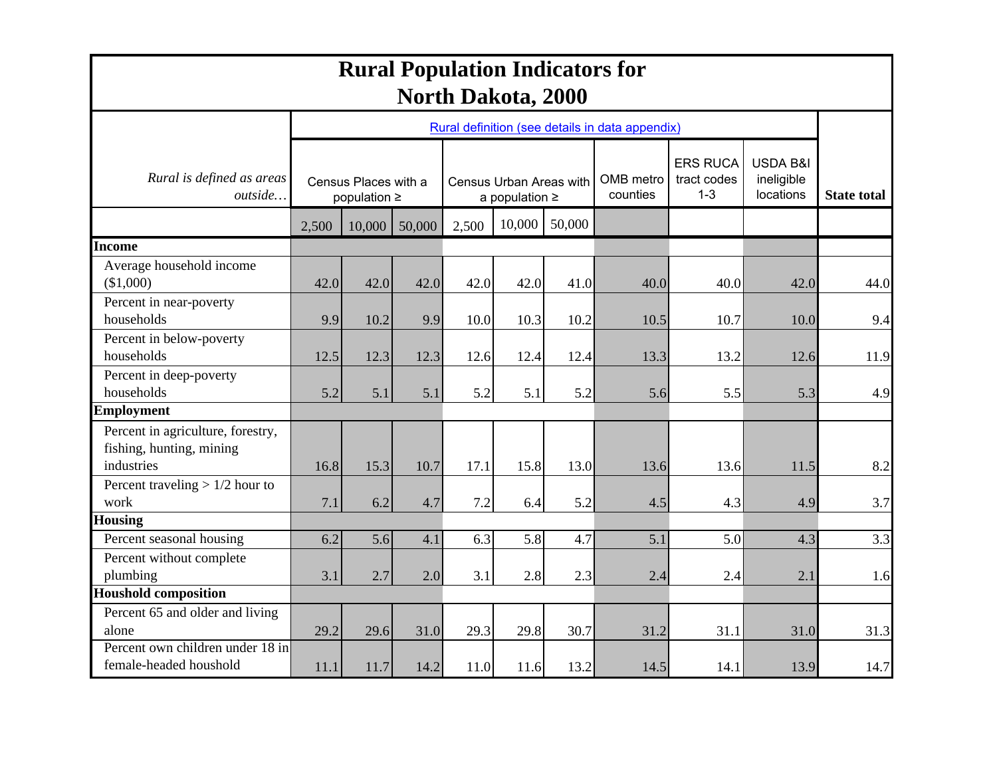| <b>Rural Population Indicators for</b><br><b>North Dakota, 2000</b>         |                                           |        |                                                |       |        |                       |                                                 |                                     |                    |      |
|-----------------------------------------------------------------------------|-------------------------------------------|--------|------------------------------------------------|-------|--------|-----------------------|-------------------------------------------------|-------------------------------------|--------------------|------|
|                                                                             |                                           |        |                                                |       |        |                       | Rural definition (see details in data appendix) |                                     |                    |      |
| Rural is defined as areas<br>outside                                        | Census Places with a<br>population $\geq$ |        | Census Urban Areas with<br>a population $\geq$ |       |        | OMB metro<br>counties | <b>ERS RUCA</b><br>tract codes<br>$1 - 3$       | USDA B&I<br>ineligible<br>locations | <b>State total</b> |      |
|                                                                             | 2,500                                     | 10,000 | 50,000                                         | 2,500 | 10,000 | 50,000                |                                                 |                                     |                    |      |
| Income                                                                      |                                           |        |                                                |       |        |                       |                                                 |                                     |                    |      |
| Average household income<br>(\$1,000)                                       | 42.0                                      | 42.0   | 42.0                                           | 42.0  | 42.0   | 41.0                  | 40.0                                            | 40.0                                | 42.0               | 44.0 |
| Percent in near-poverty<br>households                                       | 9.9                                       | 10.2   | 9.9                                            | 10.0  | 10.3   | 10.2                  | 10.5                                            | 10.7                                | 10.0               | 9.4  |
| Percent in below-poverty<br>households                                      | 12.5                                      | 12.3   | 12.3                                           | 12.6  | 12.4   | 12.4                  | 13.3                                            | 13.2                                | 12.6               | 11.9 |
| Percent in deep-poverty<br>households                                       | 5.2                                       | 5.1    | 5.1                                            | 5.2   | 5.1    | 5.2                   | 5.6                                             | 5.5                                 | 5.3                | 4.9  |
| <b>Employment</b>                                                           |                                           |        |                                                |       |        |                       |                                                 |                                     |                    |      |
| Percent in agriculture, forestry,<br>fishing, hunting, mining<br>industries | 16.8                                      | 15.3   | 10.7                                           | 17.1  | 15.8   | 13.0                  | 13.6                                            | 13.6                                | 11.5               | 8.2  |
| Percent traveling $> 1/2$ hour to<br>work                                   | 7.1                                       | 6.2    | 4.7                                            | 7.2   | 6.4    | 5.2                   | 4.5                                             | 4.3                                 | 4.9                | 3.7  |
| <b>Housing</b>                                                              |                                           |        |                                                |       |        |                       |                                                 |                                     |                    |      |
| Percent seasonal housing                                                    | 6.2                                       | 5.6    | 4.1                                            | 6.3   | 5.8    | 4.7                   | 5.1                                             | 5.0                                 | 4.3                | 3.3  |
| Percent without complete<br>plumbing                                        | 3.1                                       | 2.7    | 2.0                                            | 3.1   | 2.8    | 2.3                   | 2.4                                             | 2.4                                 | 2.1                | 1.6  |
| <b>Houshold composition</b>                                                 |                                           |        |                                                |       |        |                       |                                                 |                                     |                    |      |
| Percent 65 and older and living<br>alone                                    | 29.2                                      | 29.6   | 31.0                                           | 29.3  | 29.8   | 30.7                  | 31.2                                            | 31.1                                | 31.0               | 31.3 |
| Percent own children under 18 in<br>female-headed houshold                  | 11.1                                      | 11.7   | 14.2                                           | 11.0  | 11.6   | 13.2                  | 14.5                                            | 14.1                                | 13.9               | 14.7 |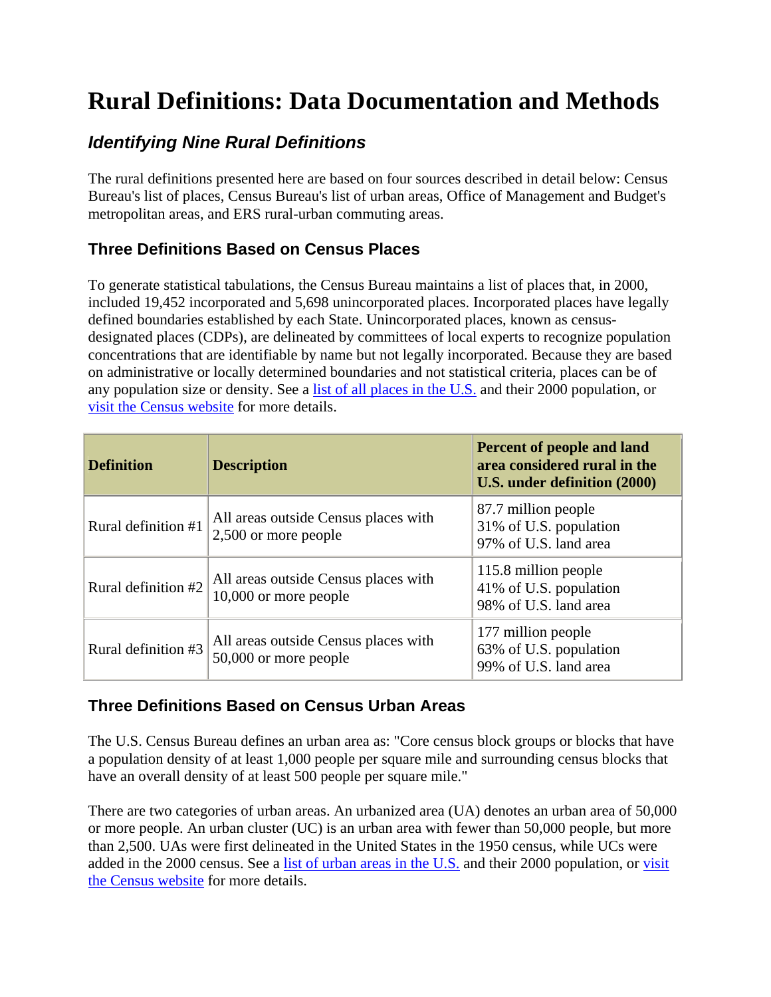### **Rural Definitions: Data Documentation and Methods**

### *Identifying Nine Rural Definitions*

The rural definitions presented here are based on four sources described in detail below: Census Bureau's list of places, Census Bureau's list of urban areas, Office of Management and Budget's metropolitan areas, and ERS rural-urban commuting areas.

#### **Three Definitions Based on Census Places**

To generate statistical tabulations, the Census Bureau maintains a list of places that, in 2000, included 19,452 incorporated and 5,698 unincorporated places. Incorporated places have legally defined boundaries established by each State. Unincorporated places, known as censusdesignated places (CDPs), are delineated by committees of local experts to recognize population concentrations that are identifiable by name but not legally incorporated. Because they are based on administrative or locally determined boundaries and not statistical criteria, places can be of any population size or density. See a [list of all places in the U.S.](http://www.ers.usda.gov/Data/Ruraldefinitions/places.xls) and their 2000 population, or [visit the Census website f](http://www.census.gov/geo/www/cob/pl_metadata.html#gad)or more details.

| <b>Definition</b>   | <b>Description</b>                                              | Percent of people and land<br>area considered rural in the<br>U.S. under definition (2000) |
|---------------------|-----------------------------------------------------------------|--------------------------------------------------------------------------------------------|
| Rural definition #1 | All areas outside Census places with<br>2,500 or more people    | 87.7 million people<br>31% of U.S. population<br>97% of U.S. land area                     |
| Rural definition #2 | All areas outside Census places with<br>$10,000$ or more people | 115.8 million people<br>41% of U.S. population<br>98% of U.S. land area                    |
| Rural definition #3 | All areas outside Census places with<br>50,000 or more people   | 177 million people<br>63% of U.S. population<br>99% of U.S. land area                      |

#### **Three Definitions Based on Census Urban Areas**

The U.S. Census Bureau defines an urban area as: "Core census block groups or blocks that have a population density of at least 1,000 people per square mile and surrounding census blocks that have an overall density of at least 500 people per square mile."

There are two categories of urban areas. An urbanized area (UA) denotes an urban area of 50,000 or more people. An urban cluster (UC) is an urban area with fewer than 50,000 people, but more than 2,500. UAs were first delineated in the United States in the 1950 census, while UCs were added in the 2000 census. See a [list of urban areas in the U.S.](http://www.ers.usda.gov/Data/Ruraldefinitions/UrbanAreas.xls) and their 2000 population, or [visit](http://www.census.gov/geo/www/ua/ua_2k.html)  [the Census website](http://www.census.gov/geo/www/ua/ua_2k.html) for more details.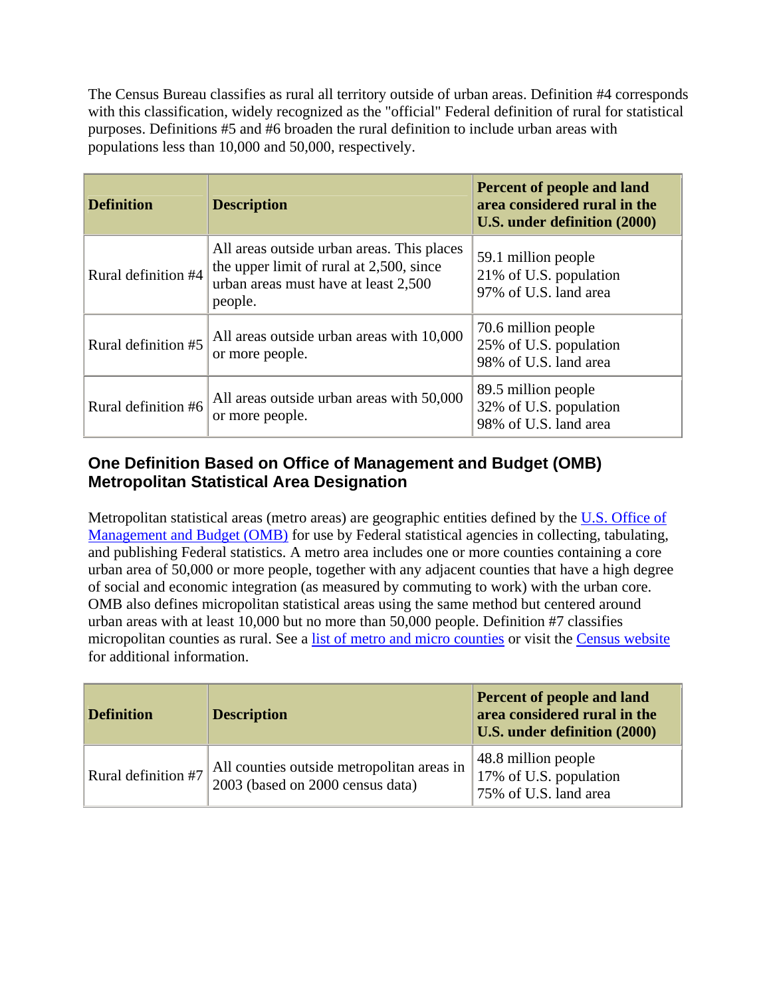The Census Bureau classifies as rural all territory outside of urban areas. Definition #4 corresponds with this classification, widely recognized as the "official" Federal definition of rural for statistical purposes. Definitions #5 and #6 broaden the rural definition to include urban areas with populations less than 10,000 and 50,000, respectively.

| <b>Definition</b>   | <b>Description</b>                                                                                                                        | Percent of people and land<br>area considered rural in the<br>U.S. under definition (2000) |
|---------------------|-------------------------------------------------------------------------------------------------------------------------------------------|--------------------------------------------------------------------------------------------|
| Rural definition #4 | All areas outside urban areas. This places<br>the upper limit of rural at 2,500, since<br>urban areas must have at least 2,500<br>people. | 59.1 million people<br>21% of U.S. population<br>97% of U.S. land area                     |
| Rural definition #5 | All areas outside urban areas with 10,000<br>or more people.                                                                              | 70.6 million people<br>25% of U.S. population<br>98% of U.S. land area                     |
| Rural definition #6 | All areas outside urban areas with 50,000<br>or more people.                                                                              | 89.5 million people<br>32% of U.S. population<br>98% of U.S. land area                     |

#### **One Definition Based on Office of Management and Budget (OMB) Metropolitan Statistical Area Designation**

Metropolitan statistical areas (metro areas) are geographic entities defined by the U.S. Office of [Management and Budget \(OMB\) for use by Federal statistical agencies in collecting, tabulating,](http://www.whitehouse.gov/omb/inforeg/statpolicy.html#ms)  and publishing Federal statistics. A metro area includes one or more counties containing a core urban area of 50,000 or more people, together with any adjacent counties that have a high degree of social and economic integration (as measured by commuting to work) with the urban core. OMB also defines micropolitan statistical areas using the same method but centered around urban areas with at least 10,000 but no more than 50,000 people. Definition #7 classifies micropolitan counties as rural. See [a list of metro and micro counties o](http://www.census.gov/population/www/estimates/metrodef.html)r visit the [Census website](http://www.census.gov/population/www/estimates/metrodef.html) for additional information.

| <b>Definition</b>   | <b>Description</b>                                                             | <b>Percent of people and land</b><br>area considered rural in the<br>U.S. under definition (2000) |
|---------------------|--------------------------------------------------------------------------------|---------------------------------------------------------------------------------------------------|
| Rural definition #7 | All counties outside metropolitan areas in<br>2003 (based on 2000 census data) | $48.8$ million people<br>17% of U.S. population<br>75% of U.S. land area                          |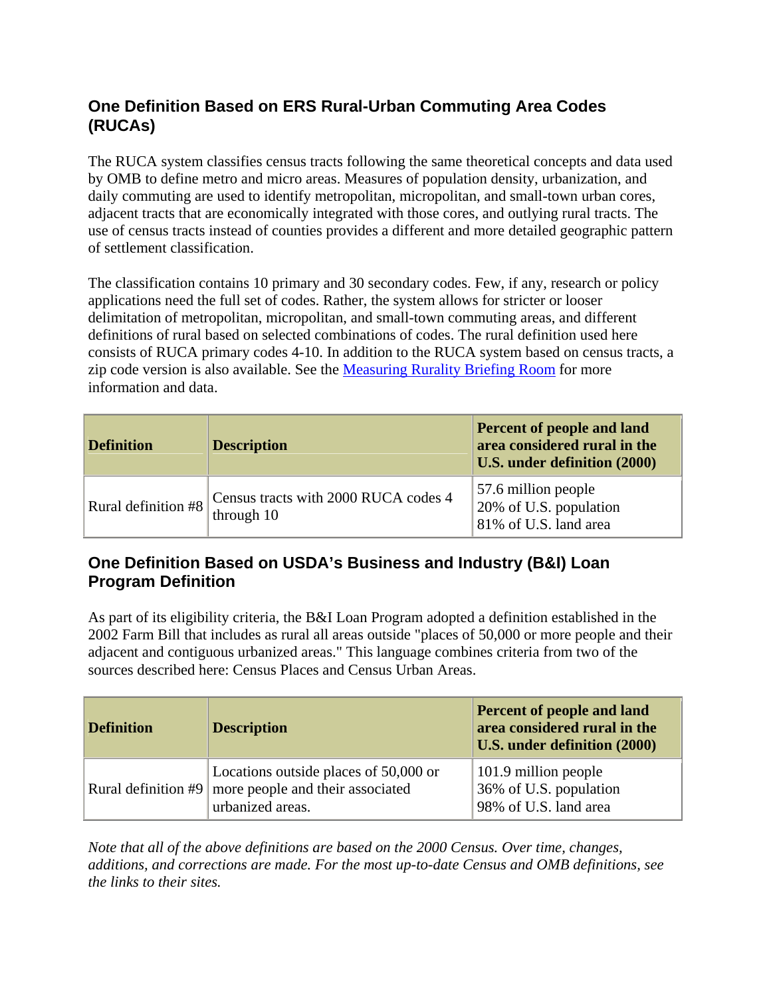#### **One Definition Based on ERS Rural-Urban Commuting Area Codes (RUCAs)**

The RUCA system classifies census tracts following the same theoretical concepts and data used by OMB to define metro and micro areas. Measures of population density, urbanization, and daily commuting are used to identify metropolitan, micropolitan, and small-town urban cores, adjacent tracts that are economically integrated with those cores, and outlying rural tracts. The use of census tracts instead of counties provides a different and more detailed geographic pattern of settlement classification.

The classification contains 10 primary and 30 secondary codes. Few, if any, research or policy applications need the full set of codes. Rather, the system allows for stricter or looser delimitation of metropolitan, micropolitan, and small-town commuting areas, and different definitions of rural based on selected combinations of codes. The rural definition used here consists of RUCA primary codes 4-10. In addition to the RUCA system based on census tracts, a zip code version is also available. See the [Measuring Rurality Briefing Room f](http://www.ers.usda.gov/briefing/Rurality/RuralUrbanCommutingAreas/)or more information and data.

| <b>Definition</b>   | <b>Description</b>                                 | <b>Percent of people and land</b><br>area considered rural in the<br>U.S. under definition (2000) |
|---------------------|----------------------------------------------------|---------------------------------------------------------------------------------------------------|
| Rural definition #8 | Census tracts with 2000 RUCA codes 4<br>through 10 | 57.6 million people<br>20% of U.S. population<br>81% of U.S. land area                            |

#### **One Definition Based on USDA's Business and Industry (B&I) Loan Program Definition**

As part of its eligibility criteria, the B&I Loan Program adopted a definition established in the 2002 Farm Bill that includes as rural all areas outside "places of 50,000 or more people and their adjacent and contiguous urbanized areas." This language combines criteria from two of the sources described here: Census Places and Census Urban Areas.

| <b>Definition</b> | <b>Description</b>                                                                                                       | <b>Percent of people and land</b><br>area considered rural in the<br>U.S. under definition (2000) |
|-------------------|--------------------------------------------------------------------------------------------------------------------------|---------------------------------------------------------------------------------------------------|
|                   | Locations outside places of 50,000 or<br>Rural definition $#9 \mid$ more people and their associated<br>urbanized areas. | $101.9$ million people<br>36% of U.S. population<br>98% of U.S. land area                         |

*Note that all of the above definitions are based on the 2000 Census. Over time, changes, additions, and corrections are made. For the most up-to-date Census and OMB definitions, see the links to their sites.*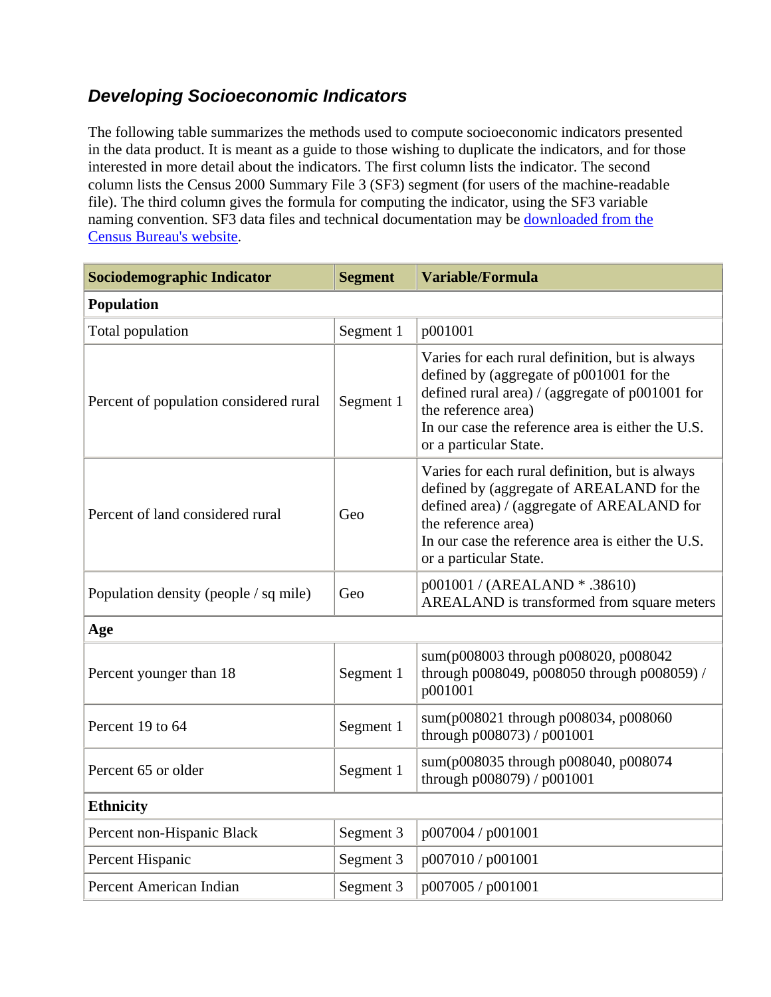### *Developing Socioeconomic Indicators*

The following table summarizes the methods used to compute socioeconomic indicators presented in the data product. It is meant as a guide to those wishing to duplicate the indicators, and for those interested in more detail about the indicators. The first column lists the indicator. The second column lists the Census 2000 Summary File 3 (SF3) segment (for users of the machine-readable file). The third column gives the formula for computing the indicator, using the SF3 variable naming convention. SF3 data files and technical documentation may be downloaded from the Census Bureau's website.

| <b>Sociodemographic Indicator</b>      | <b>Segment</b> | Variable/Formula                                                                                                                                                                                                                                       |
|----------------------------------------|----------------|--------------------------------------------------------------------------------------------------------------------------------------------------------------------------------------------------------------------------------------------------------|
| <b>Population</b>                      |                |                                                                                                                                                                                                                                                        |
| Total population                       | Segment 1      | p001001                                                                                                                                                                                                                                                |
| Percent of population considered rural | Segment 1      | Varies for each rural definition, but is always<br>defined by (aggregate of p001001 for the<br>defined rural area) / (aggregate of $p001001$ for<br>the reference area)<br>In our case the reference area is either the U.S.<br>or a particular State. |
| Percent of land considered rural       | Geo            | Varies for each rural definition, but is always<br>defined by (aggregate of AREALAND for the<br>defined area) / (aggregate of AREALAND for<br>the reference area)<br>In our case the reference area is either the U.S.<br>or a particular State.       |
| Population density (people / sq mile)  | Geo            | p001001 / (AREALAND * .38610)<br>AREALAND is transformed from square meters                                                                                                                                                                            |
| Age                                    |                |                                                                                                                                                                                                                                                        |
| Percent younger than 18                | Segment 1      | sum(p008003 through p008020, p008042<br>through p008049, p008050 through p008059) /<br>p001001                                                                                                                                                         |
| Percent 19 to 64                       | Segment 1      | sum(p008021 through p008034, p008060<br>through p008073) / p001001                                                                                                                                                                                     |
| Percent 65 or older                    | Segment 1      | sum(p008035 through p008040, p008074<br>through p008079) / p001001                                                                                                                                                                                     |
| <b>Ethnicity</b>                       |                |                                                                                                                                                                                                                                                        |
| Percent non-Hispanic Black             | Segment 3      | p007004 / p001001                                                                                                                                                                                                                                      |
| Percent Hispanic                       | Segment 3      | p007010 / p001001                                                                                                                                                                                                                                      |
| Percent American Indian                | Segment 3      | p007005 / p001001                                                                                                                                                                                                                                      |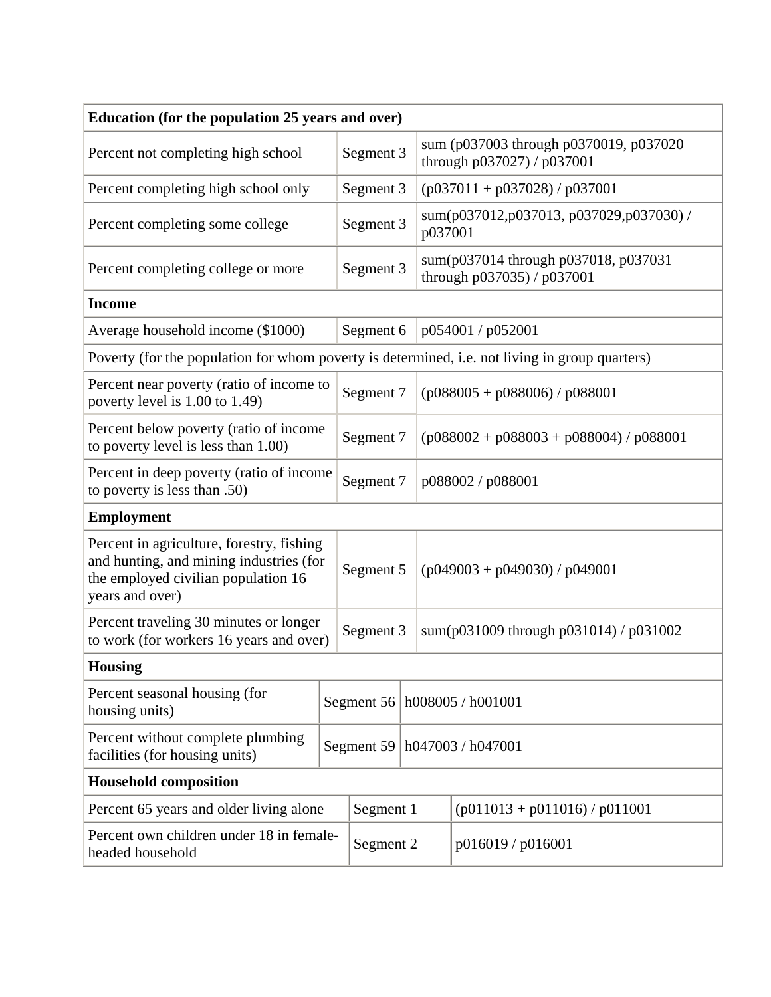| Education (for the population 25 years and over)                                                                                               |  |              |                                        |                                                                      |  |  |  |
|------------------------------------------------------------------------------------------------------------------------------------------------|--|--------------|----------------------------------------|----------------------------------------------------------------------|--|--|--|
| Percent not completing high school                                                                                                             |  | Segment 3    |                                        | sum (p037003 through p0370019, p037020<br>through p037027) / p037001 |  |  |  |
| Percent completing high school only                                                                                                            |  | Segment 3    |                                        | $(p037011 + p037028) / p037001$                                      |  |  |  |
| Percent completing some college                                                                                                                |  | Segment 3    | p037001                                | sum(p037012,p037013, p037029,p037030) /                              |  |  |  |
| Percent completing college or more                                                                                                             |  | Segment 3    |                                        | sum(p037014 through p037018, p037031<br>through p037035) / p037001   |  |  |  |
| <b>Income</b>                                                                                                                                  |  |              |                                        |                                                                      |  |  |  |
| Average household income (\$1000)                                                                                                              |  | Segment 6    |                                        | p054001 / p052001                                                    |  |  |  |
| Poverty (for the population for whom poverty is determined, i.e. not living in group quarters)                                                 |  |              |                                        |                                                                      |  |  |  |
| Percent near poverty (ratio of income to<br>poverty level is 1.00 to 1.49)                                                                     |  | Segment 7    |                                        | $(p088005 + p088006) / p088001$                                      |  |  |  |
| Percent below poverty (ratio of income<br>to poverty level is less than 1.00)                                                                  |  | Segment 7    |                                        | $(p088002 + p088003 + p088004) / p088001$                            |  |  |  |
| Percent in deep poverty (ratio of income<br>to poverty is less than .50)                                                                       |  | Segment 7    |                                        | p088002 / p088001                                                    |  |  |  |
| <b>Employment</b>                                                                                                                              |  |              |                                        |                                                                      |  |  |  |
| Percent in agriculture, forestry, fishing<br>and hunting, and mining industries (for<br>the employed civilian population 16<br>years and over) |  | Segment 5    |                                        | $(p049003 + p049030) / p049001$                                      |  |  |  |
| Percent traveling 30 minutes or longer<br>to work (for workers 16 years and over)                                                              |  | Segment 3    | sum(p031009 through p031014) / p031002 |                                                                      |  |  |  |
| <b>Housing</b>                                                                                                                                 |  |              |                                        |                                                                      |  |  |  |
| Percent seasonal housing (for<br>housing units)                                                                                                |  | Segment $56$ |                                        | h008005 / h001001                                                    |  |  |  |
| Percent without complete plumbing<br>facilities (for housing units)                                                                            |  | Segment 59   |                                        | h047003 / h047001                                                    |  |  |  |
| <b>Household composition</b>                                                                                                                   |  |              |                                        |                                                                      |  |  |  |
| Percent 65 years and older living alone                                                                                                        |  | Segment 1    |                                        | $(p011013 + p011016) / p011001$                                      |  |  |  |
| Percent own children under 18 in female-<br>headed household                                                                                   |  | Segment 2    |                                        | p016019 / p016001                                                    |  |  |  |